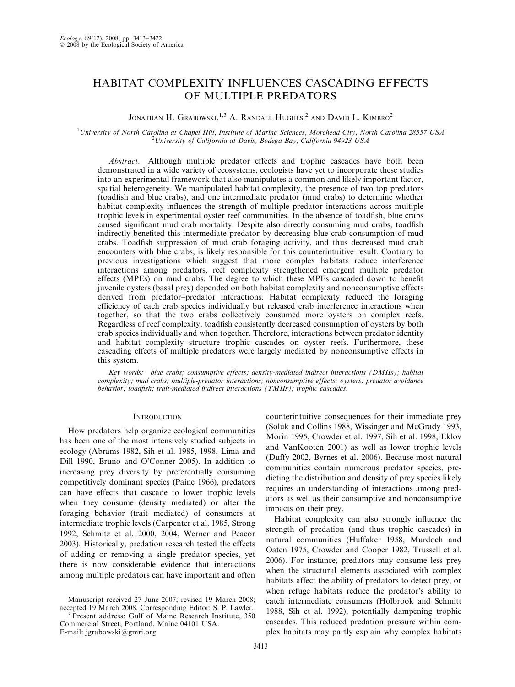# HABITAT COMPLEXITY INFLUENCES CASCADING EFFECTS OF MULTIPLE PREDATORS

## Jonathan H. Grabowski, $^{1,3}$  A. Randall Hughes, $^2$  and David L. Kimbro $^2$

<sup>1</sup>University of North Carolina at Chapel Hill, Institute of Marine Sciences, Morehead City, North Carolina 28557 USA  $\frac{2 \text{ University of} \text{Celtfermi}}{2 \text{ University of} \text{Celtfermi}}$ <sup>2</sup> University of California at Davis, Bodega Bay, California 94923 USA

Abstract. Although multiple predator effects and trophic cascades have both been demonstrated in a wide variety of ecosystems, ecologists have yet to incorporate these studies into an experimental framework that also manipulates a common and likely important factor, spatial heterogeneity. We manipulated habitat complexity, the presence of two top predators (toadfish and blue crabs), and one intermediate predator (mud crabs) to determine whether habitat complexity influences the strength of multiple predator interactions across multiple trophic levels in experimental oyster reef communities. In the absence of toadfish, blue crabs caused significant mud crab mortality. Despite also directly consuming mud crabs, toadfish indirectly benefited this intermediate predator by decreasing blue crab consumption of mud crabs. Toadfish suppression of mud crab foraging activity, and thus decreased mud crab encounters with blue crabs, is likely responsible for this counterintuitive result. Contrary to previous investigations which suggest that more complex habitats reduce interference interactions among predators, reef complexity strengthened emergent multiple predator effects (MPEs) on mud crabs. The degree to which these MPEs cascaded down to benefit juvenile oysters (basal prey) depended on both habitat complexity and nonconsumptive effects derived from predator–predator interactions. Habitat complexity reduced the foraging efficiency of each crab species individually but released crab interference interactions when together, so that the two crabs collectively consumed more oysters on complex reefs. Regardless of reef complexity, toadfish consistently decreased consumption of oysters by both crab species individually and when together. Therefore, interactions between predator identity and habitat complexity structure trophic cascades on oyster reefs. Furthermore, these cascading effects of multiple predators were largely mediated by nonconsumptive effects in this system.

Key words: blue crabs; consumptive effects; density-mediated indirect interactions (DMIIs); habitat complexity; mud crabs; multiple-predator interactions; nonconsumptive effects; oysters; predator avoidance behavior; toadfish; trait-mediated indirect interactions (TMIIs); trophic cascades.

## **INTRODUCTION**

How predators help organize ecological communities has been one of the most intensively studied subjects in ecology (Abrams 1982, Sih et al. 1985, 1998, Lima and Dill 1990, Bruno and O'Conner 2005). In addition to increasing prey diversity by preferentially consuming competitively dominant species (Paine 1966), predators can have effects that cascade to lower trophic levels when they consume (density mediated) or alter the foraging behavior (trait mediated) of consumers at intermediate trophic levels (Carpenter et al. 1985, Strong 1992, Schmitz et al. 2000, 2004, Werner and Peacor 2003). Historically, predation research tested the effects of adding or removing a single predator species, yet there is now considerable evidence that interactions among multiple predators can have important and often

E-mail: jgrabowski@gmri.org

counterintuitive consequences for their immediate prey (Soluk and Collins 1988, Wissinger and McGrady 1993, Morin 1995, Crowder et al. 1997, Sih et al. 1998, Eklov and VanKooten 2001) as well as lower trophic levels (Duffy 2002, Byrnes et al. 2006). Because most natural communities contain numerous predator species, predicting the distribution and density of prey species likely requires an understanding of interactions among predators as well as their consumptive and nonconsumptive impacts on their prey.

Habitat complexity can also strongly influence the strength of predation (and thus trophic cascades) in natural communities (Huffaker 1958, Murdoch and Oaten 1975, Crowder and Cooper 1982, Trussell et al. 2006). For instance, predators may consume less prey when the structural elements associated with complex habitats affect the ability of predators to detect prey, or when refuge habitats reduce the predator's ability to catch intermediate consumers (Holbrook and Schmitt 1988, Sih et al. 1992), potentially dampening trophic cascades. This reduced predation pressure within complex habitats may partly explain why complex habitats

Manuscript received 27 June 2007; revised 19 March 2008; accepted 19 March 2008. Corresponding Editor: S. P. Lawler. 3 Present address: Gulf of Maine Research Institute, 350 Commercial Street, Portland, Maine 04101 USA.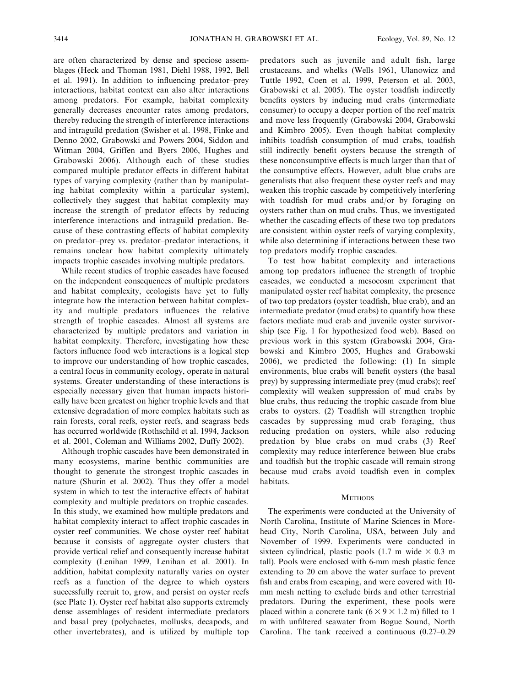are often characterized by dense and speciose assemblages (Heck and Thoman 1981, Diehl 1988, 1992, Bell et al. 1991). In addition to influencing predator–prey interactions, habitat context can also alter interactions among predators. For example, habitat complexity generally decreases encounter rates among predators, thereby reducing the strength of interference interactions and intraguild predation (Swisher et al. 1998, Finke and Denno 2002, Grabowski and Powers 2004, Siddon and Witman 2004, Griffen and Byers 2006, Hughes and Grabowski 2006). Although each of these studies compared multiple predator effects in different habitat types of varying complexity (rather than by manipulating habitat complexity within a particular system), collectively they suggest that habitat complexity may increase the strength of predator effects by reducing interference interactions and intraguild predation. Because of these contrasting effects of habitat complexity on predator–prey vs. predator–predator interactions, it remains unclear how habitat complexity ultimately impacts trophic cascades involving multiple predators.

While recent studies of trophic cascades have focused on the independent consequences of multiple predators and habitat complexity, ecologists have yet to fully integrate how the interaction between habitat complexity and multiple predators influences the relative strength of trophic cascades. Almost all systems are characterized by multiple predators and variation in habitat complexity. Therefore, investigating how these factors influence food web interactions is a logical step to improve our understanding of how trophic cascades, a central focus in community ecology, operate in natural systems. Greater understanding of these interactions is especially necessary given that human impacts historically have been greatest on higher trophic levels and that extensive degradation of more complex habitats such as rain forests, coral reefs, oyster reefs, and seagrass beds has occurred worldwide (Rothschild et al. 1994, Jackson et al. 2001, Coleman and Williams 2002, Duffy 2002).

Although trophic cascades have been demonstrated in many ecosystems, marine benthic communities are thought to generate the strongest trophic cascades in nature (Shurin et al. 2002). Thus they offer a model system in which to test the interactive effects of habitat complexity and multiple predators on trophic cascades. In this study, we examined how multiple predators and habitat complexity interact to affect trophic cascades in oyster reef communities. We chose oyster reef habitat because it consists of aggregate oyster clusters that provide vertical relief and consequently increase habitat complexity (Lenihan 1999, Lenihan et al. 2001). In addition, habitat complexity naturally varies on oyster reefs as a function of the degree to which oysters successfully recruit to, grow, and persist on oyster reefs (see Plate 1). Oyster reef habitat also supports extremely dense assemblages of resident intermediate predators and basal prey (polychaetes, mollusks, decapods, and other invertebrates), and is utilized by multiple top predators such as juvenile and adult fish, large crustaceans, and whelks (Wells 1961, Ulanowicz and Tuttle 1992, Coen et al. 1999, Peterson et al. 2003, Grabowski et al. 2005). The oyster toadfish indirectly benefits oysters by inducing mud crabs (intermediate consumer) to occupy a deeper portion of the reef matrix and move less frequently (Grabowski 2004, Grabowski and Kimbro 2005). Even though habitat complexity inhibits toadfish consumption of mud crabs, toadfish still indirectly benefit oysters because the strength of these nonconsumptive effects is much larger than that of the consumptive effects. However, adult blue crabs are generalists that also frequent these oyster reefs and may weaken this trophic cascade by competitively interfering with toadfish for mud crabs and/or by foraging on oysters rather than on mud crabs. Thus, we investigated whether the cascading effects of these two top predators are consistent within oyster reefs of varying complexity, while also determining if interactions between these two top predators modify trophic cascades.

To test how habitat complexity and interactions among top predators influence the strength of trophic cascades, we conducted a mesocosm experiment that manipulated oyster reef habitat complexity, the presence of two top predators (oyster toadfish, blue crab), and an intermediate predator (mud crabs) to quantify how these factors mediate mud crab and juvenile oyster survivorship (see Fig. 1 for hypothesized food web). Based on previous work in this system (Grabowski 2004, Grabowski and Kimbro 2005, Hughes and Grabowski 2006), we predicted the following: (1) In simple environments, blue crabs will benefit oysters (the basal prey) by suppressing intermediate prey (mud crabs); reef complexity will weaken suppression of mud crabs by blue crabs, thus reducing the trophic cascade from blue crabs to oysters. (2) Toadfish will strengthen trophic cascades by suppressing mud crab foraging, thus reducing predation on oysters, while also reducing predation by blue crabs on mud crabs (3) Reef complexity may reduce interference between blue crabs and toadfish but the trophic cascade will remain strong because mud crabs avoid toadfish even in complex habitats.

### **METHODS**

The experiments were conducted at the University of North Carolina, Institute of Marine Sciences in Morehead City, North Carolina, USA, between July and November of 1999. Experiments were conducted in sixteen cylindrical, plastic pools  $(1.7 \text{ m} \text{ wide} \times 0.3 \text{ m})$ tall). Pools were enclosed with 6-mm mesh plastic fence extending to 20 cm above the water surface to prevent fish and crabs from escaping, and were covered with 10 mm mesh netting to exclude birds and other terrestrial predators. During the experiment, these pools were placed within a concrete tank  $(6 \times 9 \times 1.2 \text{ m})$  filled to 1 m with unfiltered seawater from Bogue Sound, North Carolina. The tank received a continuous (0.27–0.29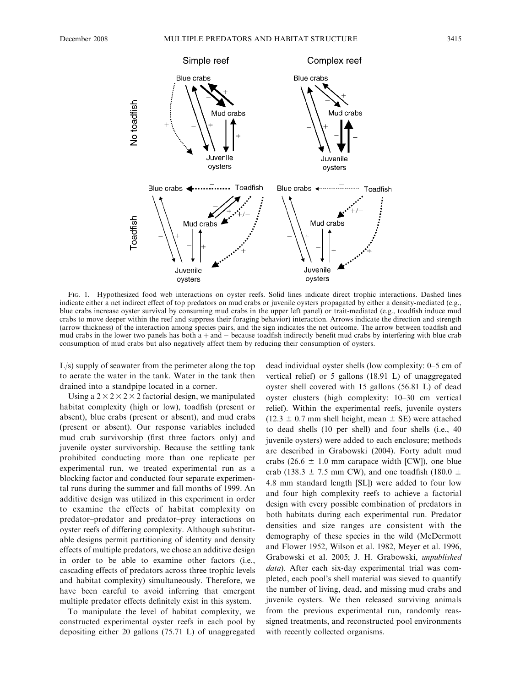

FIG. 1. Hypothesized food web interactions on oyster reefs. Solid lines indicate direct trophic interactions. Dashed lines indicate either a net indirect effect of top predators on mud crabs or juvenile oysters propagated by either a density-mediated (e.g., blue crabs increase oyster survival by consuming mud crabs in the upper left panel) or trait-mediated (e.g., toadfish induce mud crabs to move deeper within the reef and suppress their foraging behavior) interaction. Arrows indicate the direction and strength (arrow thickness) of the interaction among species pairs, and the sign indicates the net outcome. The arrow between toadfish and mud crabs in the lower two panels has both  $a + and -$  because toadfish indirectly benefit mud crabs by interfering with blue crab consumption of mud crabs but also negatively affect them by reducing their consumption of oysters.

L/s) supply of seawater from the perimeter along the top to aerate the water in the tank. Water in the tank then drained into a standpipe located in a corner.

Using a  $2 \times 2 \times 2 \times 2$  factorial design, we manipulated habitat complexity (high or low), toadfish (present or absent), blue crabs (present or absent), and mud crabs (present or absent). Our response variables included mud crab survivorship (first three factors only) and juvenile oyster survivorship. Because the settling tank prohibited conducting more than one replicate per experimental run, we treated experimental run as a blocking factor and conducted four separate experimental runs during the summer and fall months of 1999. An additive design was utilized in this experiment in order to examine the effects of habitat complexity on predator–predator and predator–prey interactions on oyster reefs of differing complexity. Although substitutable designs permit partitioning of identity and density effects of multiple predators, we chose an additive design in order to be able to examine other factors (i.e., cascading effects of predators across three trophic levels and habitat complexity) simultaneously. Therefore, we have been careful to avoid inferring that emergent multiple predator effects definitely exist in this system.

To manipulate the level of habitat complexity, we constructed experimental oyster reefs in each pool by depositing either 20 gallons (75.71 L) of unaggregated dead individual oyster shells (low complexity: 0–5 cm of vertical relief) or 5 gallons (18.91 L) of unaggregated oyster shell covered with 15 gallons (56.81 L) of dead oyster clusters (high complexity: 10–30 cm vertical relief). Within the experimental reefs, juvenile oysters  $(12.3 \pm 0.7 \text{ mm}$  shell height, mean  $\pm$  SE) were attached to dead shells (10 per shell) and four shells (i.e., 40 juvenile oysters) were added to each enclosure; methods are described in Grabowski (2004). Forty adult mud crabs (26.6  $\pm$  1.0 mm carapace width [CW]), one blue crab (138.3  $\pm$  7.5 mm CW), and one toadfish (180.0  $\pm$ 4.8 mm standard length [SL]) were added to four low and four high complexity reefs to achieve a factorial design with every possible combination of predators in both habitats during each experimental run. Predator densities and size ranges are consistent with the demography of these species in the wild (McDermott and Flower 1952, Wilson et al. 1982, Meyer et al. 1996, Grabowski et al. 2005; J. H. Grabowski, unpublished data). After each six-day experimental trial was completed, each pool's shell material was sieved to quantify the number of living, dead, and missing mud crabs and juvenile oysters. We then released surviving animals from the previous experimental run, randomly reassigned treatments, and reconstructed pool environments with recently collected organisms.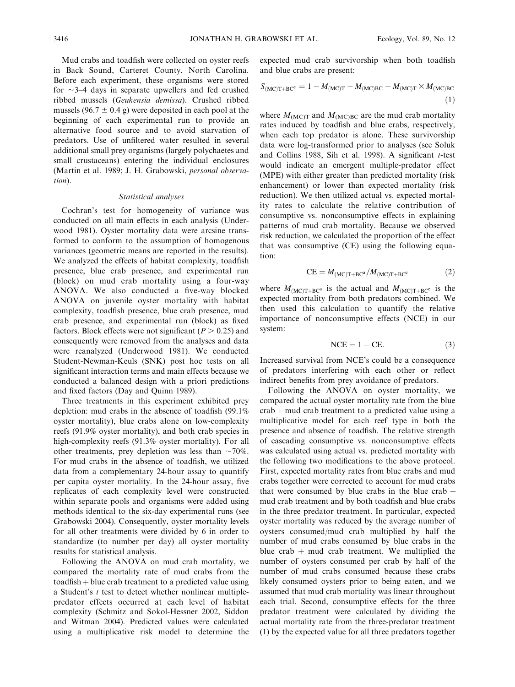Mud crabs and toadfish were collected on oyster reefs in Back Sound, Carteret County, North Carolina. Before each experiment, these organisms were stored for  $\sim$ 3–4 days in separate upwellers and fed crushed ribbed mussels (Geukensia demissa). Crushed ribbed mussels (96.7  $\pm$  0.4 g) were deposited in each pool at the beginning of each experimental run to provide an alternative food source and to avoid starvation of predators. Use of unfiltered water resulted in several additional small prey organisms (largely polychaetes and small crustaceans) entering the individual enclosures (Martin et al. 1989; J. H. Grabowski, personal observation).

## Statistical analyses

Cochran's test for homogeneity of variance was conducted on all main effects in each analysis (Underwood 1981). Oyster mortality data were arcsine transformed to conform to the assumption of homogenous variances (geometric means are reported in the results). We analyzed the effects of habitat complexity, toadfish presence, blue crab presence, and experimental run (block) on mud crab mortality using a four-way ANOVA. We also conducted a five-way blocked ANOVA on juvenile oyster mortality with habitat complexity, toadfish presence, blue crab presence, mud crab presence, and experimental run (block) as fixed factors. Block effects were not significant ( $P > 0.25$ ) and consequently were removed from the analyses and data were reanalyzed (Underwood 1981). We conducted Student-Newman-Keuls (SNK) post hoc tests on all significant interaction terms and main effects because we conducted a balanced design with a priori predictions and fixed factors (Day and Quinn 1989).

Three treatments in this experiment exhibited prey depletion: mud crabs in the absence of toadfish (99.1% oyster mortality), blue crabs alone on low-complexity reefs (91.9% oyster mortality), and both crab species in high-complexity reefs (91.3% oyster mortality). For all other treatments, prey depletion was less than  $\sim$ 70%. For mud crabs in the absence of toadfish, we utilized data from a complementary 24-hour assay to quantify per capita oyster mortality. In the 24-hour assay, five replicates of each complexity level were constructed within separate pools and organisms were added using methods identical to the six-day experimental runs (see Grabowski 2004). Consequently, oyster mortality levels for all other treatments were divided by 6 in order to standardize (to number per day) all oyster mortality results for statistical analysis.

Following the ANOVA on mud crab mortality, we compared the mortality rate of mud crabs from the  $to adfish + blue$  *crab treatment to a predicted value using*a Student's  $t$  test to detect whether nonlinear multiplepredator effects occurred at each level of habitat complexity (Schmitz and Sokol-Hessner 2002, Siddon and Witman 2004). Predicted values were calculated using a multiplicative risk model to determine the expected mud crab survivorship when both toadfish and blue crabs are present:

$$
S_{\text{(MC)T+BC}^{\text{c}}} = 1 - M_{\text{(MC)T}} - M_{\text{(MC)BC}} + M_{\text{(MC)T}} \times M_{\text{(MC)BC}}
$$
\n(1)

where  $M_{\text{(MC)T}}$  and  $M_{\text{(MC)BC}}$  are the mud crab mortality rates induced by toadfish and blue crabs, respectively, when each top predator is alone. These survivorship data were log-transformed prior to analyses (see Soluk and Collins 1988, Sih et al. 1998). A significant  $t$ -test would indicate an emergent multiple-predator effect (MPE) with either greater than predicted mortality (risk enhancement) or lower than expected mortality (risk reduction). We then utilized actual vs. expected mortality rates to calculate the relative contribution of consumptive vs. nonconsumptive effects in explaining patterns of mud crab mortality. Because we observed risk reduction, we calculated the proportion of the effect that was consumptive (CE) using the following equation:

$$
CE = M_{(MC)T + BC^a} / M_{(MC)T + BC^e}
$$
 (2)

where  $M_{\text{(MC)}T+BC^a}$  is the actual and  $M_{\text{(MC)}T+BC^e}$  is the expected mortality from both predators combined. We then used this calculation to quantify the relative importance of nonconsumptive effects (NCE) in our system:

$$
NCE = 1 - CE.
$$
 (3)

Increased survival from NCE's could be a consequence of predators interfering with each other or reflect indirect benefits from prey avoidance of predators.

Following the ANOVA on oyster mortality, we compared the actual oyster mortality rate from the blue  $crab + mud$  crab treatment to a predicted value using a multiplicative model for each reef type in both the presence and absence of toadfish. The relative strength of cascading consumptive vs. nonconsumptive effects was calculated using actual vs. predicted mortality with the following two modifications to the above protocol. First, expected mortality rates from blue crabs and mud crabs together were corrected to account for mud crabs that were consumed by blue crabs in the blue crab  $+$ mud crab treatment and by both toadfish and blue crabs in the three predator treatment. In particular, expected oyster mortality was reduced by the average number of oysters consumed/mud crab multiplied by half the number of mud crabs consumed by blue crabs in the blue crab  $+$  mud crab treatment. We multiplied the number of oysters consumed per crab by half of the number of mud crabs consumed because these crabs likely consumed oysters prior to being eaten, and we assumed that mud crab mortality was linear throughout each trial. Second, consumptive effects for the three predator treatment were calculated by dividing the actual mortality rate from the three-predator treatment (1) by the expected value for all three predators together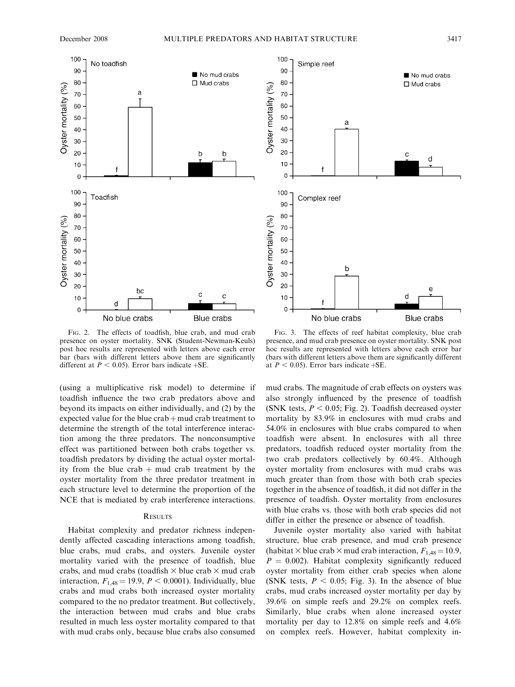



FIG. 2. The effects of toadfish, blue crab, and mud crab presence on oyster mortality. SNK (Student-Newman-Keuls) post hoc results are represented with letters above each error bar (bars with different letters above them are significantly different at  $P < 0.05$ ). Error bars indicate  $+SE$ .

(using a multiplicative risk model) to determine if toadfish influence the two crab predators above and beyond its impacts on either individually, and (2) by the expected value for the blue  $crab + mud crab$  treatment to determine the strength of the total interference interaction among the three predators. The nonconsumptive effect was partitioned between both crabs together vs. toadfish predators by dividing the actual oyster mortality from the blue crab  $+$  mud crab treatment by the oyster mortality from the three predator treatment in each structure level to determine the proportion of the NCE that is mediated by crab interference interactions.

## **RESULTS**

Habitat complexity and predator richness independently affected cascading interactions among toadfish, blue crabs, mud crabs, and oysters. Juvenile oyster mortality varied with the presence of toadfish, blue crabs, and mud crabs (toadfish  $\times$  blue crab  $\times$  mud crab interaction,  $F_{1,48} = 19.9$ ,  $P < 0.0001$ ). Individually, blue crabs and mud crabs both increased oyster mortality compared to the no predator treatment. But collectively, the interaction between mud crabs and blue crabs resulted in much less oyster mortality compared to that with mud crabs only, because blue crabs also consumed

FIG. 3. The effects of reef habitat complexity, blue crab presence, and mud crab presence on oyster mortality. SNK post hoc results are represented with letters above each error bar (bars with different letters above them are significantly different at  $P < 0.05$ ). Error bars indicate  $+SE$ .

mud crabs. The magnitude of crab effects on oysters was also strongly influenced by the presence of toadfish (SNK tests,  $P < 0.05$ ; Fig. 2). Toadfish decreased oyster mortality by 83.9% in enclosures with mud crabs and 54.0% in enclosures with blue crabs compared to when toadfish were absent. In enclosures with all three predators, toadfish reduced oyster mortality from the two crab predators collectively by 60.4%. Although oyster mortality from enclosures with mud crabs was much greater than from those with both crab species together in the absence of toadfish, it did not differ in the presence of toadfish. Oyster mortality from enclosures with blue crabs vs. those with both crab species did not differ in either the presence or absence of toadfish.

Juvenile oyster mortality also varied with habitat structure, blue crab presence, and mud crab presence (habitat  $\times$  blue crab  $\times$  mud crab interaction,  $F_{1,48}$  = 10.9,  $P = 0.002$ ). Habitat complexity significantly reduced oyster mortality from either crab species when alone (SNK tests,  $P < 0.05$ ; Fig. 3). In the absence of blue crabs, mud crabs increased oyster mortality per day by 39.6% on simple reefs and 29.2% on complex reefs. Similarly, blue crabs when alone increased oyster mortality per day to 12.8% on simple reefs and 4.6% on complex reefs. However, habitat complexity in-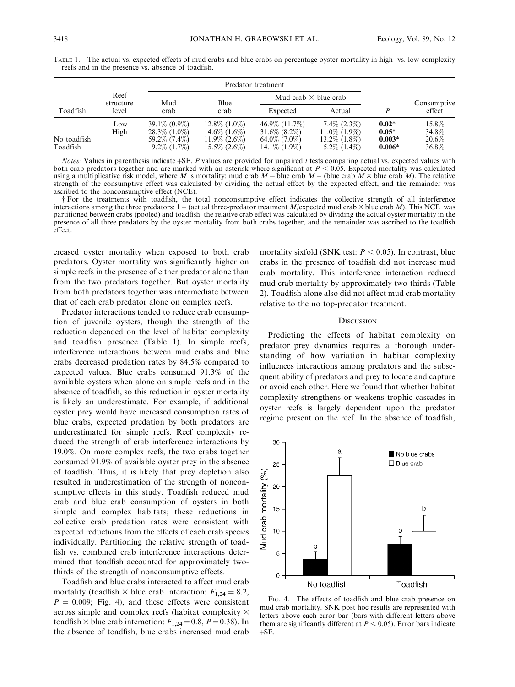| Toadfish    | Reef<br>structure<br>level | Predator treatment |                    |                             |                    |          |             |
|-------------|----------------------------|--------------------|--------------------|-----------------------------|--------------------|----------|-------------|
|             |                            | Mud<br>crab        | Blue<br>crab       | Mud crab $\times$ blue crab |                    |          | Consumptive |
|             |                            |                    |                    | Expected                    | Actual             |          | effect      |
|             | Low                        | $39.1\% (0.9\%)$   | $12.8\%$ $(1.0\%)$ | 46.9\% (11.7\%)             | $7.4\%$ (2.3%)     | $0.02*$  | 15.8%       |
|             | High                       | $28.3\%$ (1.0\%)   | $4.6\%$ $(1.6\%)$  | $31.6\%$ $(8.2\%)$          | $11.0\%$ (1.9%)    | $0.05*$  | 34.8%       |
| No toadfish |                            | 59.2\% (7.4\%)     | $11.9\%$ (2.6\%)   | $64.0\%$ (7.0%)             | $13.2\%$ $(1.8\%)$ | $0.003*$ | 20.6%       |
| Toadfish    |                            | $9.2\%$ (1.7\%)    | $5.5\%$ (2.6\%)    | $14.1\%$ (1.9%)             | $5.2\%$ $(1.4\%)$  | $0.006*$ | 36.8%       |

TABLE 1. The actual vs. expected effects of mud crabs and blue crabs on percentage oyster mortality in high- vs. low-complexity reefs and in the presence vs. absence of toadfish.

*Notes:* Values in parenthesis indicate  $+$ SE. P values are provided for unpaired t tests comparing actual vs. expected values with both crab predators together and are marked with an asterisk where significant at  $P < 0.05$ . Expected mortality was calculated using a multiplicative risk model, where M is mortality: mud crab  $M +$  blue crab  $M -$  (blue crab  $M \times$  blue crab M). The relative strength of the consumptive effect was calculated by dividing the actual effect by the expected effect, and the remainder was ascribed to the nonconsumptive effect (NCE).

- For the treatments with toadfish, the total nonconsumptive effect indicates the collective strength of all interference interactions among the three predators:  $1 - (actual three-predator treatment M/expected mud crab \times blue carb M)$ . This NCE was partitioned between crabs (pooled) and toadfish: the relative crab effect was calculated by dividing the actual oyster mortality in the presence of all three predators by the oyster mortality from both crabs together, and the remainder was ascribed to the toadfish effect.

creased oyster mortality when exposed to both crab predators. Oyster mortality was significantly higher on simple reefs in the presence of either predator alone than from the two predators together. But oyster mortality from both predators together was intermediate between that of each crab predator alone on complex reefs.

Predator interactions tended to reduce crab consumption of juvenile oysters, though the strength of the reduction depended on the level of habitat complexity and toadfish presence (Table 1). In simple reefs, interference interactions between mud crabs and blue crabs decreased predation rates by 84.5% compared to expected values. Blue crabs consumed 91.3% of the available oysters when alone on simple reefs and in the absence of toadfish, so this reduction in oyster mortality is likely an underestimate. For example, if additional oyster prey would have increased consumption rates of blue crabs, expected predation by both predators are underestimated for simple reefs. Reef complexity reduced the strength of crab interference interactions by 19.0%. On more complex reefs, the two crabs together consumed 91.9% of available oyster prey in the absence of toadfish. Thus, it is likely that prey depletion also resulted in underestimation of the strength of nonconsumptive effects in this study. Toadfish reduced mud crab and blue crab consumption of oysters in both simple and complex habitats; these reductions in collective crab predation rates were consistent with expected reductions from the effects of each crab species individually. Partitioning the relative strength of toadfish vs. combined crab interference interactions determined that toadfish accounted for approximately twothirds of the strength of nonconsumptive effects.

Toadfish and blue crabs interacted to affect mud crab mortality (toadfish  $\times$  blue crab interaction:  $F_{1,24} = 8.2$ ,  $P = 0.009$ ; Fig. 4), and these effects were consistent across simple and complex reefs (habitat complexity  $\times$ toadfish  $\times$  blue crab interaction:  $F_{1,24} = 0.8$ ,  $P = 0.38$ ). In the absence of toadfish, blue crabs increased mud crab

mortality sixfold (SNK test:  $P < 0.05$ ). In contrast, blue crabs in the presence of toadfish did not increase mud crab mortality. This interference interaction reduced mud crab mortality by approximately two-thirds (Table 2). Toadfish alone also did not affect mud crab mortality relative to the no top-predator treatment.

#### **DISCUSSION**

Predicting the effects of habitat complexity on predator–prey dynamics requires a thorough understanding of how variation in habitat complexity influences interactions among predators and the subsequent ability of predators and prey to locate and capture or avoid each other. Here we found that whether habitat complexity strengthens or weakens trophic cascades in oyster reefs is largely dependent upon the predator regime present on the reef. In the absence of toadfish,



FIG. 4. The effects of toadfish and blue crab presence on mud crab mortality. SNK post hoc results are represented with letters above each error bar (bars with different letters above them are significantly different at  $P < 0.05$ ). Error bars indicate  $+SE.$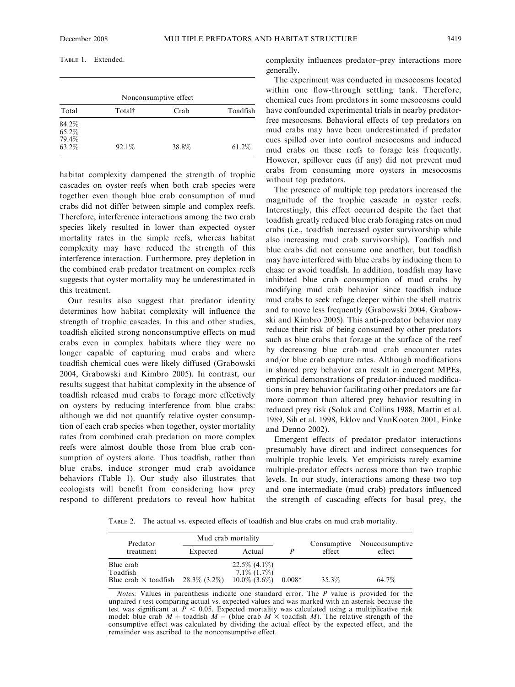| Nonconsumptive effect |       |          |  |  |  |  |  |  |
|-----------------------|-------|----------|--|--|--|--|--|--|
| Total†                | Crab  | Toadfish |  |  |  |  |  |  |
|                       |       | 61.2%    |  |  |  |  |  |  |
|                       | 92.1% | 38.8%    |  |  |  |  |  |  |

habitat complexity dampened the strength of trophic cascades on oyster reefs when both crab species were together even though blue crab consumption of mud crabs did not differ between simple and complex reefs. Therefore, interference interactions among the two crab species likely resulted in lower than expected oyster mortality rates in the simple reefs, whereas habitat complexity may have reduced the strength of this interference interaction. Furthermore, prey depletion in the combined crab predator treatment on complex reefs suggests that oyster mortality may be underestimated in this treatment.

Our results also suggest that predator identity determines how habitat complexity will influence the strength of trophic cascades. In this and other studies, toadfish elicited strong nonconsumptive effects on mud crabs even in complex habitats where they were no longer capable of capturing mud crabs and where toadfish chemical cues were likely diffused (Grabowski 2004, Grabowski and Kimbro 2005). In contrast, our results suggest that habitat complexity in the absence of toadfish released mud crabs to forage more effectively on oysters by reducing interference from blue crabs: although we did not quantify relative oyster consumption of each crab species when together, oyster mortality rates from combined crab predation on more complex reefs were almost double those from blue crab consumption of oysters alone. Thus toadfish, rather than blue crabs, induce stronger mud crab avoidance behaviors (Table 1). Our study also illustrates that ecologists will benefit from considering how prey respond to different predators to reveal how habitat complexity influences predator–prey interactions more generally.

The experiment was conducted in mesocosms located within one flow-through settling tank. Therefore, chemical cues from predators in some mesocosms could have confounded experimental trials in nearby predatorfree mesocosms. Behavioral effects of top predators on mud crabs may have been underestimated if predator cues spilled over into control mesocosms and induced mud crabs on these reefs to forage less frequently. However, spillover cues (if any) did not prevent mud crabs from consuming more oysters in mesocosms without top predators.

The presence of multiple top predators increased the magnitude of the trophic cascade in oyster reefs. Interestingly, this effect occurred despite the fact that toadfish greatly reduced blue crab foraging rates on mud crabs (i.e., toadfish increased oyster survivorship while also increasing mud crab survivorship). Toadfish and blue crabs did not consume one another, but toadfish may have interfered with blue crabs by inducing them to chase or avoid toadfish. In addition, toadfish may have inhibited blue crab consumption of mud crabs by modifying mud crab behavior since toadfish induce mud crabs to seek refuge deeper within the shell matrix and to move less frequently (Grabowski 2004, Grabowski and Kimbro 2005). This anti-predator behavior may reduce their risk of being consumed by other predators such as blue crabs that forage at the surface of the reef by decreasing blue crab–mud crab encounter rates and/or blue crab capture rates. Although modifications in shared prey behavior can result in emergent MPEs, empirical demonstrations of predator-induced modifications in prey behavior facilitating other predators are far more common than altered prey behavior resulting in reduced prey risk (Soluk and Collins 1988, Martin et al. 1989, Sih et al. 1998, Eklov and VanKooten 2001, Finke and Denno 2002).

Emergent effects of predator–predator interactions presumably have direct and indirect consequences for multiple trophic levels. Yet empiricists rarely examine multiple-predator effects across more than two trophic levels. In our study, interactions among these two top and one intermediate (mud crab) predators influenced the strength of cascading effects for basal prey, the

TABLE 2. The actual vs. expected effects of toadfish and blue crabs on mud crab mortality.

| Predator                    | Mud crab mortality |                   |          | Consumptive | Nonconsumptive |  |
|-----------------------------|--------------------|-------------------|----------|-------------|----------------|--|
| treatment                   | Expected           | Actual            |          | effect      | effect         |  |
| Blue crab                   |                    | $22.5\%$ (4.1\%)  |          |             |                |  |
| Toadfish                    |                    | $7.1\%$ $(1.7\%)$ |          |             |                |  |
| Blue crab $\times$ toadfish | 28.3\% (3.2\%)     | $10.0\%$ (3.6%)   | $0.008*$ | 35.3%       | 64.7%          |  |

Notes: Values in parenthesis indicate one standard error. The P value is provided for the unpaired  $t$  test comparing actual vs. expected values and was marked with an asterisk because the test was significant at  $P < 0.05$ . Expected mortality was calculated using a multiplicative risk model: blue crab  $M +$  toadfish  $M -$  (blue crab  $M \times$  toadfish M). The relative strength of the consumptive effect was calculated by dividing the actual effect by the expected effect, and the remainder was ascribed to the nonconsumptive effect.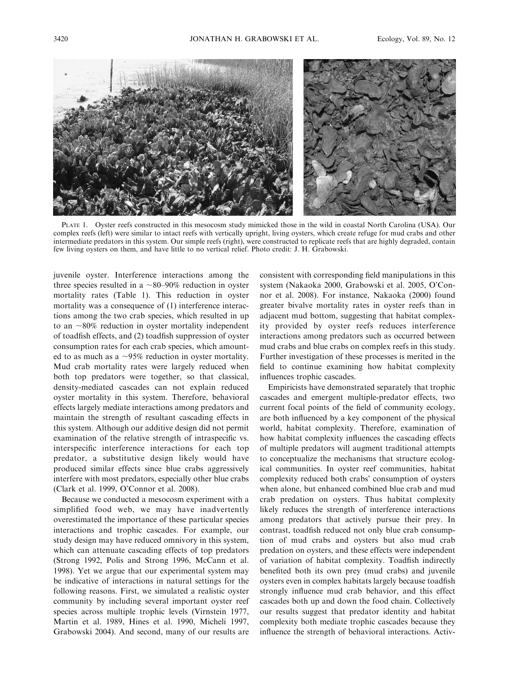

PLATE 1. Oyster reefs constructed in this mesocosm study mimicked those in the wild in coastal North Carolina (USA). Our complex reefs (left) were similar to intact reefs with vertically upright, living oysters, which create refuge for mud crabs and other intermediate predators in this system. Our simple reefs (right), were constructed to replicate reefs that are highly degraded, contain few living oysters on them, and have little to no vertical relief. Photo credit: J. H. Grabowski.

juvenile oyster. Interference interactions among the three species resulted in a  $\sim$ 80–90% reduction in oyster mortality rates (Table 1). This reduction in oyster mortality was a consequence of (1) interference interactions among the two crab species, which resulted in up to an  $\sim$ 80% reduction in oyster mortality independent of toadfish effects, and (2) toadfish suppression of oyster consumption rates for each crab species, which amounted to as much as a  $\sim$ 95% reduction in oyster mortality. Mud crab mortality rates were largely reduced when both top predators were together, so that classical, density-mediated cascades can not explain reduced oyster mortality in this system. Therefore, behavioral effects largely mediate interactions among predators and maintain the strength of resultant cascading effects in this system. Although our additive design did not permit examination of the relative strength of intraspecific vs. interspecific interference interactions for each top predator, a substitutive design likely would have produced similar effects since blue crabs aggressively interfere with most predators, especially other blue crabs (Clark et al. 1999, O'Connor et al. 2008).

Because we conducted a mesocosm experiment with a simplified food web, we may have inadvertently overestimated the importance of these particular species interactions and trophic cascades. For example, our study design may have reduced omnivory in this system, which can attenuate cascading effects of top predators (Strong 1992, Polis and Strong 1996, McCann et al. 1998). Yet we argue that our experimental system may be indicative of interactions in natural settings for the following reasons. First, we simulated a realistic oyster community by including several important oyster reef species across multiple trophic levels (Virnstein 1977, Martin et al. 1989, Hines et al. 1990, Micheli 1997, Grabowski 2004). And second, many of our results are

consistent with corresponding field manipulations in this system (Nakaoka 2000, Grabowski et al. 2005, O'Connor et al. 2008). For instance, Nakaoka (2000) found greater bivalve mortality rates in oyster reefs than in adjacent mud bottom, suggesting that habitat complexity provided by oyster reefs reduces interference interactions among predators such as occurred between mud crabs and blue crabs on complex reefs in this study. Further investigation of these processes is merited in the field to continue examining how habitat complexity influences trophic cascades.

Empiricists have demonstrated separately that trophic cascades and emergent multiple-predator effects, two current focal points of the field of community ecology, are both influenced by a key component of the physical world, habitat complexity. Therefore, examination of how habitat complexity influences the cascading effects of multiple predators will augment traditional attempts to conceptualize the mechanisms that structure ecological communities. In oyster reef communities, habitat complexity reduced both crabs' consumption of oysters when alone, but enhanced combined blue crab and mud crab predation on oysters. Thus habitat complexity likely reduces the strength of interference interactions among predators that actively pursue their prey. In contrast, toadfish reduced not only blue crab consumption of mud crabs and oysters but also mud crab predation on oysters, and these effects were independent of variation of habitat complexity. Toadfish indirectly benefited both its own prey (mud crabs) and juvenile oysters even in complex habitats largely because toadfish strongly influence mud crab behavior, and this effect cascades both up and down the food chain. Collectively our results suggest that predator identity and habitat complexity both mediate trophic cascades because they influence the strength of behavioral interactions. Activ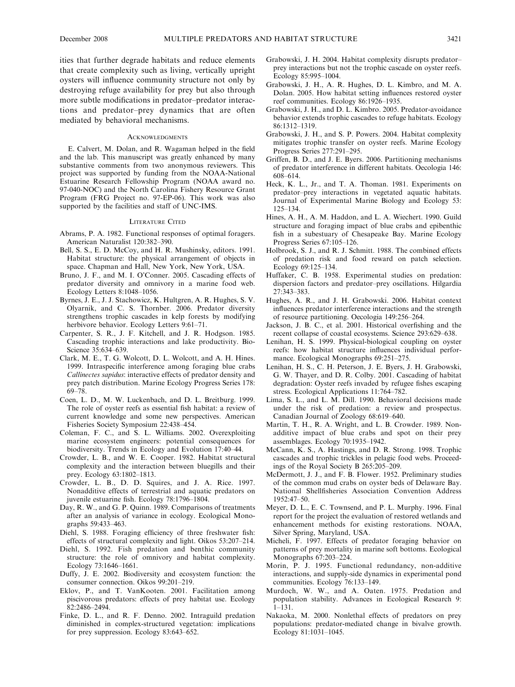ities that further degrade habitats and reduce elements that create complexity such as living, vertically upright oysters will influence community structure not only by destroying refuge availability for prey but also through more subtle modifications in predator–predator interactions and predator–prey dynamics that are often mediated by behavioral mechanisms.

#### **ACKNOWLEDGMENTS**

E. Calvert, M. Dolan, and R. Wagaman helped in the field and the lab. This manuscript was greatly enhanced by many substantive comments from two anonymous reviewers. This project was supported by funding from the NOAA-National Estuarine Research Fellowship Program (NOAA award no. 97-040-NOC) and the North Carolina Fishery Resource Grant Program (FRG Project no. 97-EP-06). This work was also supported by the facilities and staff of UNC-IMS.

#### LITERATURE CITED

- Abrams, P. A. 1982. Functional responses of optimal foragers. American Naturalist 120:382–390.
- Bell, S. S., E. D. McCoy, and H. R. Mushinsky, editors. 1991. Habitat structure: the physical arrangement of objects in space. Chapman and Hall, New York, New York, USA.
- Bruno, J. F., and M. I. O'Conner. 2005. Cascading effects of predator diversity and omnivory in a marine food web. Ecology Letters 8:1048–1056.
- Byrnes, J. E., J. J. Stachowicz, K. Hultgren, A. R. Hughes, S. V. Olyarnik, and C. S. Thornber. 2006. Predator diversity strengthens trophic cascades in kelp forests by modifying herbivore behavior. Ecology Letters 9:61–71.
- Carpenter, S. R., J. F. Kitchell, and J. R. Hodgson. 1985. Cascading trophic interactions and lake productivity. Bio-Science 35:634–639.
- Clark, M. E., T. G. Wolcott, D. L. Wolcott, and A. H. Hines. 1999. Intraspecific interference among foraging blue crabs Callinectes sapidus: interactive effects of predator density and prey patch distribution. Marine Ecology Progress Series 178: 69–78.
- Coen, L. D., M. W. Luckenbach, and D. L. Breitburg. 1999. The role of oyster reefs as essential fish habitat: a review of current knowledge and some new perspectives. American Fisheries Society Symposium 22:438–454.
- Coleman, F. C., and S. L. Williams. 2002. Overexploiting marine ecosystem engineers: potential consequences for biodiversity. Trends in Ecology and Evolution 17:40–44.
- Crowder, L. B., and W. E. Cooper. 1982. Habitat structural complexity and the interaction between bluegills and their prey. Ecology 63:1802–1813.
- Crowder, L. B., D. D. Squires, and J. A. Rice. 1997. Nonadditive effects of terrestrial and aquatic predators on juvenile estuarine fish. Ecology 78:1796–1804.
- Day, R. W., and G. P. Quinn. 1989. Comparisons of treatments after an analysis of variance in ecology. Ecological Monographs 59:433–463.
- Diehl, S. 1988. Foraging efficiency of three freshwater fish: effects of structural complexity and light. Oikos 53:207–214.
- Diehl, S. 1992. Fish predation and benthic community structure: the role of omnivory and habitat complexity. Ecology 73:1646–1661.
- Duffy, J. E. 2002. Biodiversity and ecosystem function: the consumer connection. Oikos 99:201–219.
- Eklov, P., and T. VanKooten. 2001. Facilitation among piscivorous predators: effects of prey habitat use. Ecology 82:2486–2494.
- Finke, D. L., and R. F. Denno. 2002. Intraguild predation diminished in complex-structured vegetation: implications for prey suppression. Ecology 83:643–652.
- Grabowski, J. H. 2004. Habitat complexity disrupts predator– prey interactions but not the trophic cascade on oyster reefs. Ecology 85:995–1004.
- Grabowski, J. H., A. R. Hughes, D. L. Kimbro, and M. A. Dolan. 2005. How habitat setting influences restored oyster reef communities. Ecology 86:1926–1935.
- Grabowski, J. H., and D. L. Kimbro. 2005. Predator-avoidance behavior extends trophic cascades to refuge habitats. Ecology 86:1312–1319.
- Grabowski, J. H., and S. P. Powers. 2004. Habitat complexity mitigates trophic transfer on oyster reefs. Marine Ecology Progress Series 277:291–295.
- Griffen, B. D., and J. E. Byers. 2006. Partitioning mechanisms of predator interference in different habitats. Oecologia 146: 608–614.
- Heck, K. L., Jr., and T. A. Thoman. 1981. Experiments on predator–prey interactions in vegetated aquatic habitats. Journal of Experimental Marine Biology and Ecology 53: 125–134.
- Hines, A. H., A. M. Haddon, and L. A. Wiechert. 1990. Guild structure and foraging impact of blue crabs and epibenthic fish in a subestuary of Chesapeake Bay. Marine Ecology Progress Series 67:105–126.
- Holbrook, S. J., and R. J. Schmitt. 1988. The combined effects of predation risk and food reward on patch selection. Ecology 69:125–134.
- Huffaker, C. B. 1958. Experimental studies on predation: dispersion factors and predator–prey oscillations. Hilgardia 27:343–383.
- Hughes, A. R., and J. H. Grabowski. 2006. Habitat context influences predator interference interactions and the strength of resource partitioning. Oecologia 149:256–264.
- Jackson, J. B. C., et al. 2001. Historical overfishing and the recent collapse of coastal ecosystems. Science 293:629–638.
- Lenihan, H. S. 1999. Physical-biological coupling on oyster reefs: how habitat structure influences individual performance. Ecological Monographs 69:251–275.
- Lenihan, H. S., C. H. Peterson, J. E. Byers, J. H. Grabowski, G. W. Thayer, and D. R. Colby. 2001. Cascading of habitat degradation: Oyster reefs invaded by refugee fishes escaping stress. Ecological Applications 11:764–782.
- Lima, S. L., and L. M. Dill. 1990. Behavioral decisions made under the risk of predation: a review and prospectus. Canadian Journal of Zoology 68:619–640.
- Martin, T. H., R. A. Wright, and L. B. Crowder. 1989. Nonadditive impact of blue crabs and spot on their prey assemblages. Ecology 70:1935–1942.
- McCann, K. S., A. Hastings, and D. R. Strong. 1998. Trophic cascades and trophic trickles in pelagic food webs. Proceedings of the Royal Society B 265:205–209.
- McDermott, J. J., and F. B. Flower. 1952. Preliminary studies of the common mud crabs on oyster beds of Delaware Bay. National Shellfisheries Association Convention Address 1952:47–50.
- Meyer, D. L., E. C. Townsend, and P. L. Murphy. 1996. Final report for the project the evaluation of restored wetlands and enhancement methods for existing restorations. NOAA, Silver Spring, Maryland, USA.
- Micheli, F. 1997. Effects of predator foraging behavior on patterns of prey mortality in marine soft bottoms. Ecological Monographs 67:203–224.
- Morin, P. J. 1995. Functional redundancy, non-additive interactions, and supply-side dynamics in experimental pond communities. Ecology 76:133–149.
- Murdoch, W. W., and A. Oaten. 1975. Predation and population stability. Advances in Ecological Research 9: 1–131.
- Nakaoka, M. 2000. Nonlethal effects of predators on prey populations: predator-mediated change in bivalve growth. Ecology 81:1031–1045.